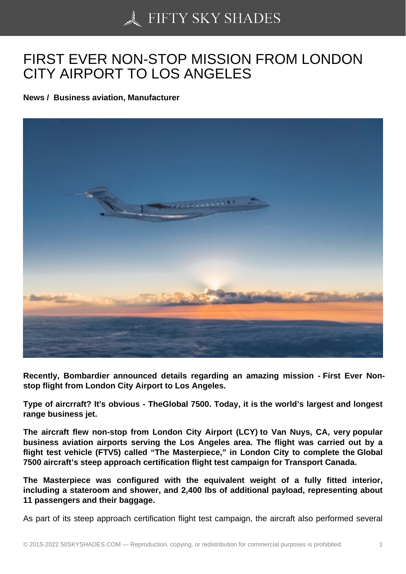## [FIRST EVER NON-ST](https://50skyshades.com)OP MISSION FROM LONDON CITY AIRPORT TO LOS ANGELES

News / Business aviation, Manufacturer

Recently, Bombardier announced details regarding an amazing mission - First Ever Nonstop flight from London City Airport to Los Angeles.

Type of aircrraft? It's obvious - TheGlobal 7500. Today, it is the world's largest and longest range business jet.

The aircraft flew non-stop from London City Airport (LCY) to Van Nuys, CA, very popular business aviation airports serving the Los Angeles area. The flight was carried out by a flight test vehicle (FTV5) called "The Masterpiece," in London City to complete the Global 7500 aircraft's steep approach certification flight test campaign for Transport Canada.

The Masterpiece was configured with the equivalent weight of a fully fitted interior, including a stateroom and shower, and 2,400 lbs of additional payload, representing about 11 passengers and their baggage.

As part of its steep approach certification flight test campaign, the aircraft also performed several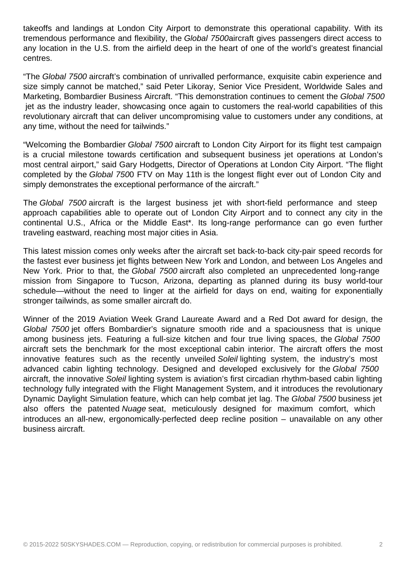takeoffs and landings at London City Airport to demonstrate this operational capability. With its tremendous performance and flexibility, the Global 7500aircraft gives passengers direct access to any location in the U.S. from the airfield deep in the heart of one of the world's greatest financial centres.

"The Global 7500 aircraft's combination of unrivalled performance, exquisite cabin experience and size simply cannot be matched," said Peter Likoray, Senior Vice President, Worldwide Sales and Marketing, Bombardier Business Aircraft. "This demonstration continues to cement the Global 7500 jet as the industry leader, showcasing once again to customers the real-world capabilities of this revolutionary aircraft that can deliver uncompromising value to customers under any conditions, at any time, without the need for tailwinds."

"Welcoming the Bombardier Global 7500 aircraft to London City Airport for its flight test campaign is a crucial milestone towards certification and subsequent business jet operations at London's most central airport," said Gary Hodgetts, Director of Operations at London City Airport. "The flight completed by the Global 7500 FTV on May 11th is the longest flight ever out of London City and simply demonstrates the exceptional performance of the aircraft."

The Global 7500 aircraft is the largest business jet with short-field performance and steep approach capabilities able to operate out of London City Airport and to connect any city in the continental U.S., Africa or the Middle East\*. Its long-range performance can go even further traveling eastward, reaching most major cities in Asia.

This latest mission comes only weeks after the aircraft set back-to-back city-pair speed records for the fastest ever business jet flights between New York and London, and between Los Angeles and New York. Prior to that, the Global 7500 aircraft also completed an unprecedented long-range mission from Singapore to Tucson, Arizona, departing as planned during its busy world-tour schedule—without the need to linger at the airfield for days on end, waiting for exponentially stronger tailwinds, as some smaller aircraft do.

Winner of the 2019 Aviation Week Grand Laureate Award and a Red Dot award for design, the Global 7500 jet offers Bombardier's signature smooth ride and a spaciousness that is unique among business jets. Featuring a full-size kitchen and four true living spaces, the Global 7500 aircraft sets the benchmark for the most exceptional cabin interior. The aircraft offers the most innovative features such as the recently unveiled Soleil lighting system, the industry's most advanced cabin lighting technology. Designed and developed exclusively for the Global 7500 aircraft, the innovative Soleil lighting system is aviation's first circadian rhythm-based cabin lighting technology fully integrated with the Flight Management System, and it introduces the revolutionary Dynamic Daylight Simulation feature, which can help combat jet lag. The Global 7500 business jet also offers the patented Nuage seat, meticulously designed for maximum comfort, which introduces an all-new, ergonomically-perfected deep recline position – unavailable on any other business aircraft.